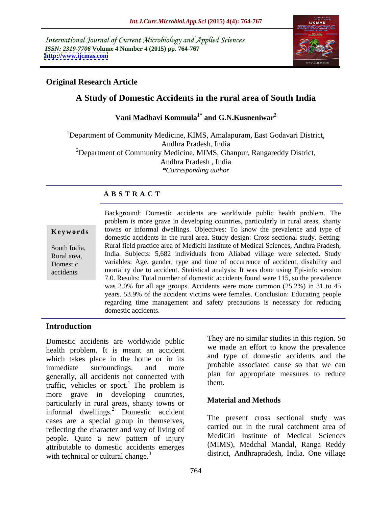International Journal of Current Microbiology and Applied Sciences *ISSN: 2319-7706* **Volume 4 Number 4 (2015) pp. 764-767 <http://www.ijcmas.com>**



## **Original Research Article**

# **A Study of Domestic Accidents in the rural area of South India**

### **Vani Madhavi Kommula1\* and G.N.Kusneniwar<sup>2</sup>**

<sup>1</sup>Department of Community Medicine, KIMS, Amalapuram, East Godavari District, Andhra Pradesh, India  $2D$ epartment of Community Medicine, MIMS, Ghanpur, Rangareddy District, Andhra Pradesh , India *\*Corresponding author*

### **A B S T R A C T**

accidents

Background: Domestic accidents are worldwide public health problem. The problem is more grave in developing countries, particularly in rural areas, shanty **Keywords** towns or informal dwellings. Objectives: To know the prevalence and type of domestic accidents in the rural area. Study design: Cross sectional study. Setting: Rural field practice area of Mediciti Institute of Medical Sciences, Andhra Pradesh, South India, India. Subjects: 5,682 individuals from Aliabad village were selected. Study Rural area, variables: Age, gender, type and time of occurrence of accident, disability and Domestic mortality due to accident. Statistical analysis: It was done using Epi-info version 7.0. Results: Total number of domestic accidents found were 115, so the prevalence was 2.0% for all age groups. Accidents were more common (25.2%) in 31 to 45 years. 53.9% of the accident victims were females. Conclusion: Educating people regarding time management and safety precautions is necessary for reducing domestic accidents.

### **Introduction**

Domestic accidents are worldwide public health problem. It is meant an accident which takes place in the home or in its immediate surroundings, and more probable associated cause so that we can generally, all accidents not connected with  $\frac{plan}{then}$ . traffic, vehicles or sport.<sup>1</sup> The problem is more grave in developing countries,<br>noticed and Methods<br>material and Methods particularly in rural areas, shanty towns or informal dwellings.<sup>2</sup> Domestic accident cases are a special group in themselves, reflecting the character and way of living of people. Quite a new pattern of injury attributable to domestic accidents emerges with technical or cultural change. $3$ 

They are no similar studies in this region. So we made an effort to know the prevalence and type of domestic accidents and the probable associated cause so that we can plan for appropriate measures to reduce them.

## **Material and Methods**

The present cross sectional study was carried out in the rural catchment area of MediCiti Institute of Medical Sciences (MIMS), Medchal Mandal, Ranga Reddy district, Andhrapradesh, India. One village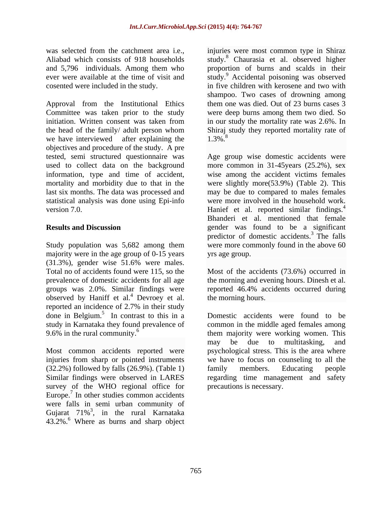Approval from the Institutional Ethics them one was died. Out of 23 burns cases 3 Committee was taken prior to the study were deep burns among them two died. So initiation. Written consent was taken from in our study the mortality rate was 2.6%. In the head of the family/ adult person whom Shiraj study they reported mortality rate of we have interviewed after explaining the  $1.3\%$ . objectives and procedure of the study. A pre tested, semi structured questionnaire was Age group wise domestic accidents were used to collect data on the background more common in 31-45years (25.2%), sex information, type and time of accident, wise among the accident victims females mortality and morbidity due to that in the were slightly more(53.9%) (Table 2). This last six months. The data was processed and may be due to compared to males females statistical analysis was done using Epi-info were more involved in the household work. version 7.0. The extended in the Hanief et al. reported similar findings.<sup>4</sup>

Study population was 5,682 among them majority were in the age group of 0-15 years (31.3%), gender wise 51.6% were males. Total no of accidents found were 115, so the Most of the accidents (73.6%) occurred in prevalence of domestic accidents for all age the morning and evening hours. Dinesh et al. groups was 2.0%. Similar findings were reported 46.4% accidents occurred during observed by Haniff et al.<sup>4</sup> Devroey et al. reported an incidence of  $2.7\%$  in their study reported an incidence of 2.7% in their study done in Belgium.<sup>5</sup> In contrast to this in a study in Karnataka they found prevalence of

(32.2%) followed by falls (26.9%). (Table 1) survey of the WHO regional office for Europe.<sup>7</sup> In other studies common accidents were falls in semi urban community of Gujarat  $71\%$ <sup>3</sup>, in the rural Karnataka  $43.2\%$ <sup>6</sup> Where as burns and sharp object

was selected from the catchment area i.e., injuries were most common type in Shiraz Aliabad which consists of 918 households study.<sup>8</sup> Chaurasia et al. observed higher and 5,796 individuals. Among them who proportion of burns and scalds in their ever were available at the time of visit and study.<sup>9</sup> Accidental poisoning was observed cosented were included in the study. in five children with kerosene and two with shampoo. Two cases of drowning among in our study the mortality rate was 2.6%. In 1.3%.<sup>8</sup>

**Results and Discussion** gender was found to be a significant Bhanderi et al. mentioned that female predictor of domestic accidents.<sup>3</sup> The falls were more commonly found in the above 60 yrs age group.

the morning hours.

In contrast to this in a Domestic accidents were found to be study in Karnataka they found prevalence of common in the middle aged females among 9.6% in the rural community.<sup>6</sup> them majority were working women. This Most common accidents reported were psychological stress. This is the area where injuries from sharp or pointed instruments we have to focus on counseling to all the Similar findings were observed in LARES regarding time management and safety may be due to multitasking, and family members. Educating people precautions is necessary.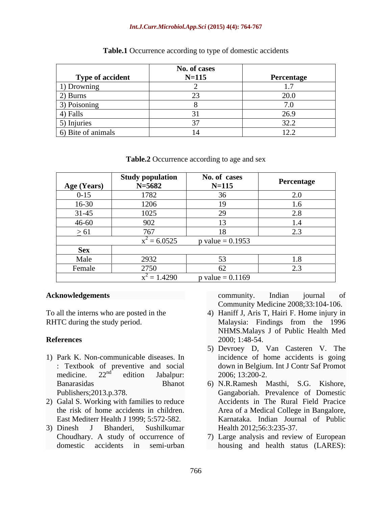### *Int.J.Curr.Microbiol.App.Sci* **(2015) 4(4): 764-767**

|                    | No. of cases |                                                                   |
|--------------------|--------------|-------------------------------------------------------------------|
| Type of accident   | $N = 115$    | Percentage                                                        |
| 1) Drowning        |              |                                                                   |
| $2)$ Burns         |              | $\cap$ $\cap$                                                     |
| 3) Poisoning       |              |                                                                   |
| 4) Falls           |              | 26.9                                                              |
| 5) Injuries        |              | 22.2<br>ے ۔ ب                                                     |
| 6) Bite of animals |              | 10 <sub>2</sub><br>$\overline{1}$ $\overline{2}$ , $\overline{4}$ |

**Table.1** Occurrence according to type of domestic accidents

| Table.2 Occurrence according to age and sex |  |
|---------------------------------------------|--|
|---------------------------------------------|--|

| Age (Years) | <b>Study population</b><br>$N = 5682$ | No. of cases<br>$N = 115$            | Percentage           |
|-------------|---------------------------------------|--------------------------------------|----------------------|
| $0 - 15$    | 1782                                  | 36                                   | 2.0                  |
| 16-30       | 1206                                  | $\overline{10}$                      |                      |
| $31 - 45$   | 1025                                  | $\Omega$<br>$\overline{\phantom{a}}$ | 2.8                  |
| $46 - 60$   | 902                                   |                                      |                      |
| > 61        | 767                                   |                                      | $\sim$ $\sim$<br>2.3 |
|             | $x^2 = 6.0525$                        | $p$ value = 0.1953                   |                      |
| <b>Sex</b>  |                                       |                                      |                      |
| Male        | 2932                                  |                                      |                      |
| Female      | 2750                                  | -62                                  |                      |
|             | $x^2 = 1.4290$                        | $p$ value = 0.1169                   |                      |

- 1) Park K. Non-communicable diseases. In
- 2) Galal S. Working with families to reduce East Mediterr Health J 1999; 5:572-582.
- 

**Acknowledgements CONSERVING CONSERVING CONTROLLER CONSERVING CONTROLLER CONSERVING CONTROLLER CONSERVING CONSERVING CONSERVING CONSERVING CONSERVING CONSERVING CONSERVING CONSERVING CONSERVING CONSERVING CONSERVING CONS** community. Indian journal of Community Medicine 2008;33:104-106.

- To all the interns who are posted in the 4) Haniff J, Aris T, Hairi F. Home injury in RHTC during the study period. Malaysia: Findings from the 1996 **References** 2000; 1:48-54. Malaysia: Findings from the 1996 NHMS.Malays J of Public Health Med 2000; 1:48-54.5) Devroey D, Van Casteren V. The
	- : Textbook of preventive and social down in Belgium. Int J Contr Saf Promot medicine.  $22^{nd}$  edition Jabalpur:  $2006; 13:200-2$ .  $\frac{nd}{d}$  edition Isbelsum 2006.12.200.2 edition Jabalpur: 2006; 13:200-2. incidence of home accidents is going 2006; 13:200-2.
- Banarasidas Bhanot 6) N.R.Ramesh Masthi, S.G. Kishore, Publishers;2013.p.378. Gangaboriah. Prevalence of Domestic the risk of home accidents in children. Area of a Medical College in Bangalore, 3) Dinesh J Bhanderi, Sushilkumar Accidents in The Rural Field Pracice Karnataka. Indian Journal of Public Health 2012;56:3:235-37.
	- Choudhary. A study of occurrence of 7) Large analysis and review of European domestic accidents in semi-urban housing and health status (LARES):